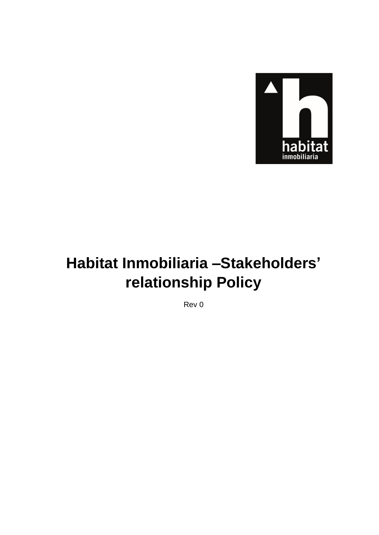

# **Habitat Inmobiliaria –Stakeholders' relationship Policy**

Rev 0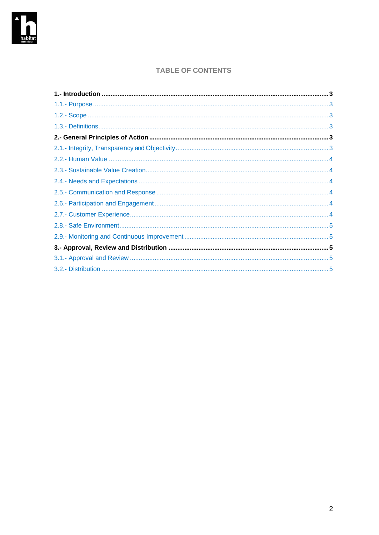

# **TABLE OF CONTENTS**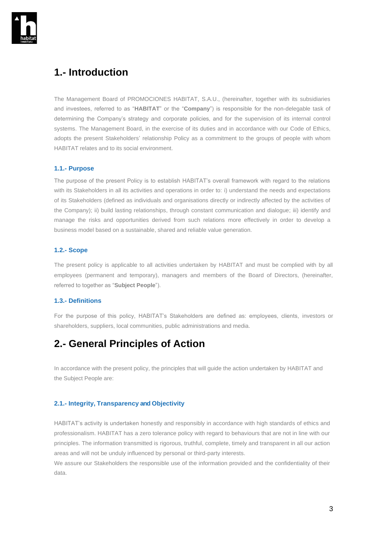

# <span id="page-2-0"></span>**1.- Introduction**

The Management Board of PROMOCIONES HABITAT, S.A.U., (hereinafter, together with its subsidiaries and investees, referred to as "**HABITAT**" or the "**Company**") is responsible for the non-delegable task of determining the Company's strategy and corporate policies, and for the supervision of its internal control systems. The Management Board, in the exercise of its duties and in accordance with our Code of Ethics, adopts the present Stakeholders' relationship Policy as a commitment to the groups of people with whom HABITAT relates and to its social environment.

## <span id="page-2-1"></span>**1.1.- Purpose**

The purpose of the present Policy is to establish HABITAT's overall framework with regard to the relations with its Stakeholders in all its activities and operations in order to: i) understand the needs and expectations of its Stakeholders (defined as individuals and organisations directly or indirectly affected by the activities of the Company); ii) build lasting relationships, through constant communication and dialogue; iii) identify and manage the risks and opportunities derived from such relations more effectively in order to develop a business model based on a sustainable, shared and reliable value generation.

## <span id="page-2-2"></span>**1.2.- Scope**

The present policy is applicable to all activities undertaken by HABITAT and must be complied with by all employees (permanent and temporary), managers and members of the Board of Directors, (hereinafter, referred to together as "**Subject People**").

## <span id="page-2-3"></span>**1.3.- Definitions**

For the purpose of this policy, HABITAT's Stakeholders are defined as: employees, clients, investors or shareholders, suppliers, local communities, public administrations and media.

# <span id="page-2-4"></span>**2.- General Principles of Action**

In accordance with the present policy, the principles that will guide the action undertaken by HABITAT and the Subject People are:

#### <span id="page-2-5"></span>**2.1.- Integrity, Transparency and Objectivity**

HABITAT's activity is undertaken honestly and responsibly in accordance with high standards of ethics and professionalism. HABITAT has a zero tolerance policy with regard to behaviours that are not in line with our principles. The information transmitted is rigorous, truthful, complete, timely and transparent in all our action areas and will not be unduly influenced by personal or third-party interests.

We assure our Stakeholders the responsible use of the information provided and the confidentiality of their data.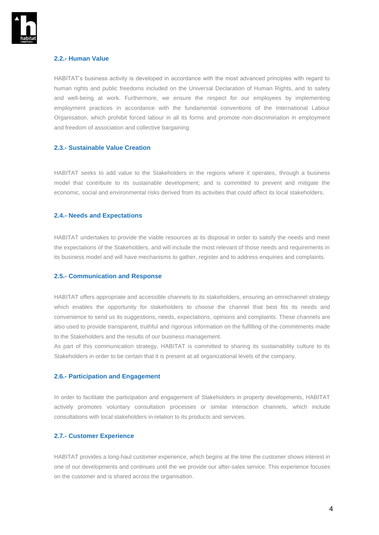

## <span id="page-3-0"></span>**2.2.- Human Value**

HABITAT's business activity is developed in accordance with the most advanced principles with regard to human rights and public freedoms included on the Universal Declaration of Human Rights, and to safety and well-being at work. Furthermore, we ensure the respect for our employees by implementing employment practices in accordance with the fundamental conventions of the International Labour Organisation, which prohibit forced labour in all its forms and promote non-discrimination in employment and freedom of association and collective bargaining.

#### <span id="page-3-1"></span>**2.3.- Sustainable Value Creation**

HABITAT seeks to add value to the Stakeholders in the regions where it operates, through a business model that contribute to its sustainable development; and is committed to prevent and mitigate the economic, social and environmental risks derived from its activities that could affect its local stakeholders.

#### <span id="page-3-2"></span>**2.4.- Needs and Expectations**

HABITAT undertakes to provide the viable resources at its disposal in order to satisfy the needs and meet the expectations of the Stakeholders, and will include the most relevant of those needs and requirements in its business model and will have mechanisms to gather, register and to address enquiries and complaints.

#### <span id="page-3-3"></span>**2.5.- Communication and Response**

HABITAT offers appropriate and accessible channels to its stakeholders, ensuring an omnichannel strategy which enables the opportunity for stakeholders to choose the channel that best fits its needs and convenience to send us its suggestions, needs, expectations, opinions and complaints. These channels are also used to provide transparent, truthful and rigorous information on the fulfilling of the commitments made to the Stakeholders and the results of our business management.

As part of this communication strategy, HABITAT is committed to sharing its sustainability culture to its Stakeholders in order to be certain that it is present at all organizational levels of the company.

#### <span id="page-3-4"></span>**2.6.- Participation and Engagement**

In order to facilitate the participation and engagement of Stakeholders in property developments, HABITAT actively promotes voluntary consultation processes or similar interaction channels, which include consultations with local stakeholders in relation to its products and services.

#### <span id="page-3-5"></span>**2.7.- Customer Experience**

HABITAT provides a long-haul customer experience, which begins at the time the customer shows interest in one of our developments and continues until the we provide our after-sales service. This experience focuses on the customer and is shared across the organisation.